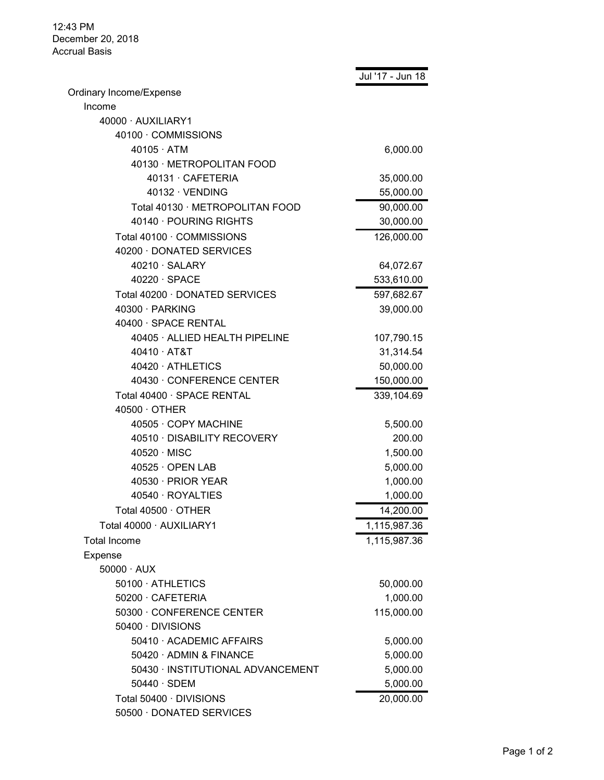12:43 PM December 20, 2018 Accrual Basis

|                                   | Jul '17 - Jun 18 |
|-----------------------------------|------------------|
| Ordinary Income/Expense           |                  |
| Income                            |                  |
| 40000 · AUXILIARY1                |                  |
| 40100 · COMMISSIONS               |                  |
| $40105 \cdot ATM$                 | 6,000.00         |
| 40130 · METROPOLITAN FOOD         |                  |
| 40131 CAFETERIA                   | 35,000.00        |
| $40132 \cdot VENDING$             | 55,000.00        |
| Total 40130 · METROPOLITAN FOOD   | 90,000.00        |
| 40140 · POURING RIGHTS            | 30,000.00        |
| Total 40100 · COMMISSIONS         | 126,000.00       |
| 40200 · DONATED SERVICES          |                  |
| $40210 \cdot \text{SALARY}$       | 64,072.67        |
| $40220 \cdot SPACE$               | 533,610.00       |
| Total 40200 · DONATED SERVICES    | 597,682.67       |
| 40300 · PARKING                   | 39,000.00        |
| 40400 · SPACE RENTAL              |                  |
| 40405 · ALLIED HEALTH PIPELINE    | 107,790.15       |
| 40410 · AT&T                      | 31,314.54        |
| 40420 · ATHLETICS                 | 50,000.00        |
| 40430 · CONFERENCE CENTER         | 150,000.00       |
| Total 40400 · SPACE RENTAL        | 339,104.69       |
| $40500 \cdot$ OTHER               |                  |
| 40505 · COPY MACHINE              | 5,500.00         |
| 40510 · DISABILITY RECOVERY       | 200.00           |
| $40520 \cdot$ MISC                | 1,500.00         |
| $40525 \cdot$ OPEN LAB            | 5,000.00         |
| 40530 · PRIOR YEAR                | 1,000.00         |
| 40540 · ROYALTIES                 | 1,000.00         |
| Total 40500 $\cdot$ OTHER         | 14,200.00        |
| Total 40000 · AUXILIARY1          | 1,115,987.36     |
| <b>Total Income</b>               | 1,115,987.36     |
| Expense                           |                  |
| $50000 \cdot \text{AUX}$          |                  |
| 50100 · ATHLETICS                 | 50,000.00        |
| 50200 · CAFETERIA                 | 1,000.00         |
| 50300 · CONFERENCE CENTER         | 115,000.00       |
| 50400 DIVISIONS                   |                  |
| 50410 · ACADEMIC AFFAIRS          | 5,000.00         |
| 50420 · ADMIN & FINANCE           | 5,000.00         |
| 50430 · INSTITUTIONAL ADVANCEMENT | 5,000.00         |
| $50440 \cdot SDEM$                | 5,000.00         |
| Total 50400 · DIVISIONS           | 20,000.00        |
| 50500 · DONATED SERVICES          |                  |